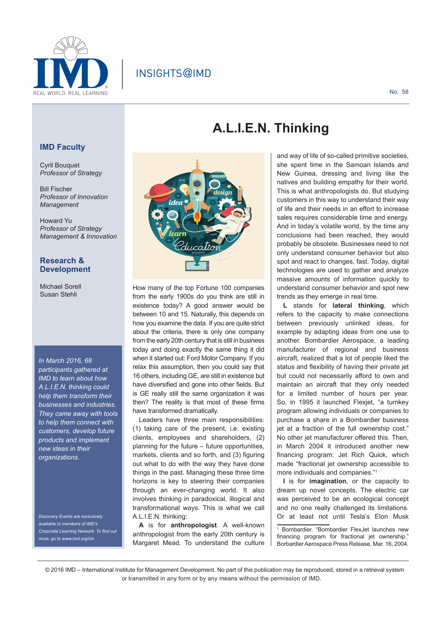

## INSIGHTS@IMD

#### **IMD Faculty**

Cyril Bouquet *Professor of Strategy*

Bill Fischer *Professor of Innovation Management*

Howard Yu *Professor of Strategy Management & Innovation*

#### **Research & Development**

Michael Sorell Susan Stehli

*In March 2016, 68 participants gathered at IMD to learn about how A.L.I.E.N. thinking could help them transform their businesses and industries. They came away with tools to help them connect with customers, develop future products and implement new ideas in their organizations.*

*Discovery Events are exclusively available to members of IMD's Corporate Learning Network. To find out more, go to www.imd.org/cln*



How many of the top Fortune 100 companies from the early 1900s do you think are still in existence today? A good answer would be between 10 and 15. Naturally, this depends on how you examine the data. If you are quite strict about the criteria, there is only one company from the early 20th century that is still in business today and doing exactly the same thing it did when it started out: Ford Motor Company. If you relax this assumption, then you could say that 16 others, including GE, are still in existence but have diversified and gone into other fields. But is GE really still the same organization it was then? The reality is that most of these firms have transformed dramatically.

Leaders have three main responsibilities: (1) taking care of the present, i.e. existing clients, employees and shareholders, (2) planning for the future – future opportunities, markets, clients and so forth, and (3) figuring out what to do with the way they have done things in the past. Managing these three time horizons is key to steering their companies through an ever-changing world. It also involves thinking in paradoxical, illogical and transformational ways. This is what we call A.L.I.E.N. thinking:

**A** is for **anthropologist**. A well-known anthropologist from the early 20th century is Margaret Mead. To understand the culture

# **A.L.I.E.N. Thinking**

and way of life of so-called primitive societies, she spent time in the Samoan Islands and New Guinea, dressing and living like the natives and building empathy for their world. This is what anthropologists do. But studying customers in this way to understand their way of life and their needs in an effort to increase sales requires considerable time and energy. And in today's volatile world, by the time any conclusions had been reached, they would probably be obsolete. Businesses need to not only understand consumer behavior but also spot and react to changes, fast. Today, digital technologies are used to gather and analyze massive amounts of information quickly to understand consumer behavior and spot new trends as they emerge in real time.

**L** stands for **lateral thinking**, which refers to the capacity to make connections between previously unlinked ideas, for example by adapting ideas from one use to another. Bombardier Aerospace, a leading manufacturer of regional and business aircraft, realized that a lot of people liked the status and flexibility of having their private jet but could not necessarily afford to own and maintain an aircraft that they only needed for a limited number of hours per year. So, in 1995 it launched Flexjet, "a turnkey program allowing individuals or companies to purchase a share in a Bombardier business jet at a fraction of the full ownership cost." No other jet manufacturer offered this. Then, in March 2004 it introduced another new financing program: Jet Rich Quick, which made "fractional jet ownership accessible to more individuals and companies."<sup>1</sup>

**I** is for **imagination**, or the capacity to dream up novel concepts. The electric car was perceived to be an ecological concept and no one really challenged its limitations. Or at least not until Tesla's Elon Musk

1 Bombardier. "Bombardier FlexJet launches new financing program for fractional jet ownership.' Borbardier Aerospace Press Release, Mar. 16, 2004.

<sup>© 2016</sup> IMD – International Institute for Management Development. No part of this publication may be reproduced, stored in a retrieval system or transmitted in any form or by any means without the permission of IMD.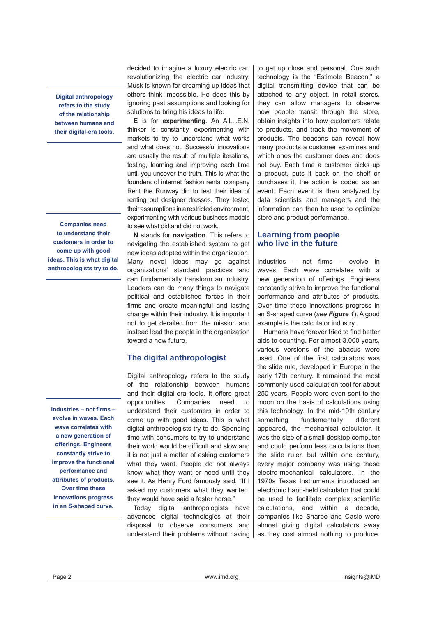**Digital anthropology refers to the study of the relationship between humans and their digital-era tools.**

**Companies need to understand their customers in order to come up with good ideas. This is what digital anthropologists try to do.**

**Industries – not firms – evolve in waves. Each wave correlates with a new generation of offerings. Engineers constantly strive to improve the functional performance and attributes of products. Over time these innovations progress in an S-shaped curve.**

decided to imagine a luxury electric car, revolutionizing the electric car industry. Musk is known for dreaming up ideas that others think impossible. He does this by ignoring past assumptions and looking for solutions to bring his ideas to life.

**E** is for **experimenting**. An A.L.I.E.N. thinker is constantly experimenting with markets to try to understand what works and what does not. Successful innovations are usually the result of multiple iterations, testing, learning and improving each time until you uncover the truth. This is what the founders of internet fashion rental company Rent the Runway did to test their idea of renting out designer dresses. They tested their assumptions in a restricted environment, experimenting with various business models to see what did and did not work.

**N** stands for **navigation**. This refers to navigating the established system to get new ideas adopted within the organization. Many novel ideas may go against organizations' standard practices and can fundamentally transform an industry. Leaders can do many things to navigate political and established forces in their firms and create meaningful and lasting change within their industry. It is important not to get derailed from the mission and instead lead the people in the organization toward a new future.

#### **The digital anthropologist**

Digital anthropology refers to the study of the relationship between humans and their digital-era tools. It offers great opportunities. Companies need to understand their customers in order to come up with good ideas. This is what digital anthropologists try to do. Spending time with consumers to try to understand their world would be difficult and slow and it is not just a matter of asking customers what they want. People do not always know what they want or need until they see it. As Henry Ford famously said, "If I asked my customers what they wanted, they would have said a faster horse."

Today digital anthropologists have advanced digital technologies at their disposal to observe consumers and understand their problems without having to get up close and personal. One such technology is the "Estimote Beacon," a digital transmitting device that can be attached to any object. In retail stores, they can allow managers to observe how people transit through the store, obtain insights into how customers relate to products, and track the movement of products. The beacons can reveal how many products a customer examines and which ones the customer does and does not buy. Each time a customer picks up a product, puts it back on the shelf or purchases it, the action is coded as an event. Each event is then analyzed by data scientists and managers and the information can then be used to optimize store and product performance.

#### **Learning from people who live in the future**

Industries – not firms – evolve in waves. Each wave correlates with a new generation of offerings. Engineers constantly strive to improve the functional performance and attributes of products. Over time these innovations progress in an S-shaped curve (*see Figure 1*). A good example is the calculator industry.

Humans have forever tried to find better aids to counting. For almost 3,000 years, various versions of the abacus were used. One of the first calculators was the slide rule, developed in Europe in the early 17th century. It remained the most commonly used calculation tool for about 250 years. People were even sent to the moon on the basis of calculations using this technology. In the mid-19th century something fundamentally different appeared, the mechanical calculator. It was the size of a small desktop computer and could perform less calculations than the slide ruler, but within one century, every major company was using these electro-mechanical calculators. In the 1970s Texas Instruments introduced an electronic hand-held calculator that could be used to facilitate complex scientific calculations, and within a decade, companies like Sharpe and Casio were almost giving digital calculators away as they cost almost nothing to produce.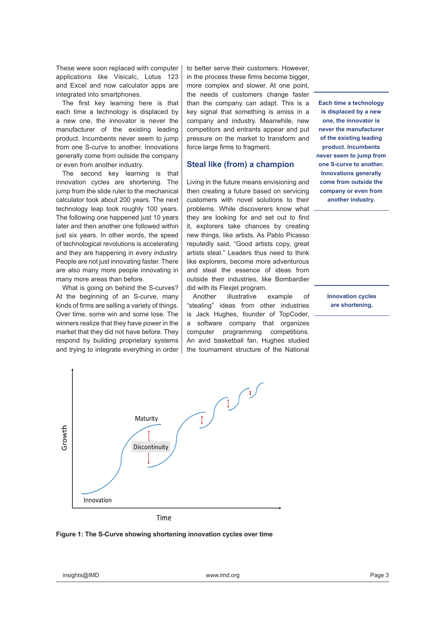These were soon replaced with computer applications like Visicalc, Lotus 123 and Excel and now calculator apps are integrated into smartphones.

The first key learning here is that each time a technology is displaced by a new one, the innovator is never the manufacturer of the existing leading product. Incumbents never seem to jump from one S-curve to another. Innovations generally come from outside the company or even from another industry.

The second key learning is that innovation cycles are shortening. The jump from the slide ruler to the mechanical calculator took about 200 years. The next technology leap took roughly 100 years. The following one happened just 10 years later and then another one followed within just six years. In other words, the speed of technological revolutions is accelerating and they are happening in every industry. People are not just innovating faster. There are also many more people innovating in many more areas than before.

What is going on behind the S-curves? At the beginning of an S-curve, many kinds of firms are selling a variety of things. Over time, some win and some lose. The winners realize that they have power in the market that they did not have before. They respond by building proprietary systems and trying to integrate everything in order to better serve their customers. However, in the process these firms become bigger, more complex and slower. At one point, the needs of customers change faster than the company can adapt. This is a key signal that something is amiss in a company and industry. Meanwhile, new competitors and entrants appear and put pressure on the market to transform and force large firms to fragment.

#### **Steal like (from) a champion**

Living in the future means envisioning and then creating a future based on servicing customers with novel solutions to their problems. While discoverers know what they are looking for and set out to find it, explorers take chances by creating new things, like artists. As Pablo Picasso reputedly said, "Good artists copy, great artists steal." Leaders thus need to think like explorers, become more adventurous and steal the essence of ideas from outside their industries, like Bombardier did with its Flexjet program.

Another illustrative example of "stealing" ideas from other industries is Jack Hughes, founder of TopCoder, a software company that organizes computer programming competitions. An avid basketball fan, Hughes studied the tournament structure of the National

**Each time a technology is displaced by a new one, the innovator is never the manufacturer of the existing leading product. Incumbents never seem to jump from one S-curve to another. Innovations generally come from outside the company or even from another industry.**

> **Innovation cycles are shortening.**



Time

#### **Figure 1: The S-Curve showing shortening innovation cycles over time**